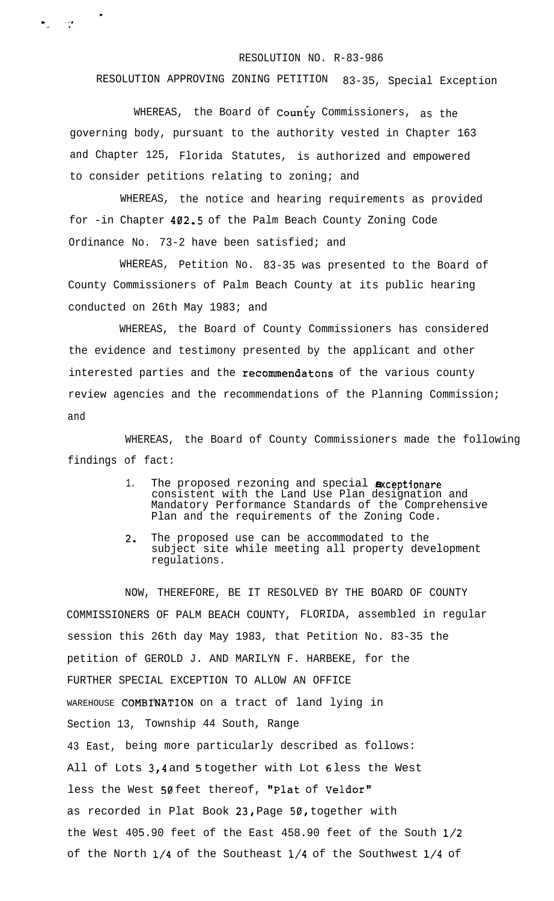## RESOLUTION NO. R-83-986

RESOLUTION APPROVING ZONING PETITION 83-35, Special Exception

WHEREAS, the Board of County Commissioners, as the governing body, pursuant to the authority vested in Chapter 163 and Chapter 125, Florida Statutes, is authorized and empowered to consider petitions relating to zoning; and

WHEREAS, the notice and hearing requirements as provided for -in Chapter 402.5 of the Palm Beach County Zoning Code Ordinance No. 73-2 have been satisfied; and

WHEREAS, Petition No. 83-35 was presented to the Board of County Commissioners of Palm Beach County at its public hearing conducted on 26th May 1983; and

WHEREAS, the Board of County Commissioners has considered the evidence and testimony presented by the applicant and other interested parties and the recommendatons of the various county review agencies and the recommendations of the Planning Commission; and

WHEREAS, the Board of County Commissioners made the following findings of fact:

- 1. The proposed rezoning and special axceptionare consistent with the Land Use Plan designation and Mandatory Performance Standards of the Comprehensive Plan and the requirements of the Zoning Code.
- 2. The proposed use can be accommodated to the subject site while meeting all property development regulations.

NOW, THEREFORE, BE IT RESOLVED BY THE BOARD OF COUNTY COMMISSIONERS OF PALM BEACH COUNTY, FLORIDA, assembled in regular session this 26th day May 1983, that Petition No. 83-35 the petition of GEROLD J. AND MARILYN F. HARBEKE, for the FURTHER SPECIAL EXCEPTION TO ALLOW AN OFFICE WAREHOUSE COMBINATION on a tract of land lying in Section 13, Township 44 South, Range 43 East, being more particularly described as follows: All of Lots 3,4 and 5 together with Lot 6 less the West less the West 50 feet thereof, "Plat of Veldor" as recorded in Plat Book 23, Page 50, together with the West 405.90 feet of the East 458.90 feet of the South l/2 of the North l/4 of the Southeast l/4 of the Southwest l/4 of

. . ..', - \*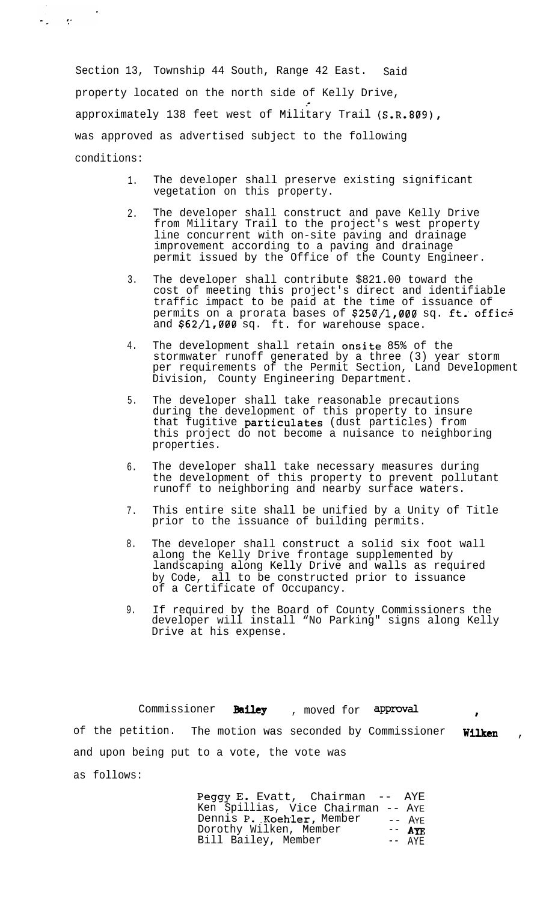Section 13, Township 44 South, Range 42 East. Said property located on the north side of Kelly Drive, approximately 138 feet west of Military Trail (S.R.809), was approved as advertised subject to the following conditions:

 $\sigma_{\rm m} = \sigma_{\rm m}$ 

- 1. The developer shall preserve existing significant vegetation on this property.
- 2. The developer shall construct and pave Kelly Drive from Military Trail to the project's west property line concurrent with on-site paving and drainage improvement according to a paving and drainage permit issued by the Office of the County Engineer.
- 3. The developer shall contribute \$821.00 toward the cost of meeting this project's direct and identifiable traffic impact to be paid at the time of issuance of permits on a prorata bases of \$250/1,000 sq. ft. office and \$62/1,000 sq. ft. for warehouse space.
- 4. The development shall retain onsite 85% of the stormwater runoff generated by a three (3) year storm per requirements of the Permit Section, Land Development Division, County Engineering Department.
- 5. The developer shall take reasonable precautions during the development of this property to insure that fugitive particulates (dust particles) from this project do not become a nuisance to neighboring properties.
- 6. The developer shall take necessary measures during the development of this property to prevent pollutant runoff to neighboring and nearby surface waters.
- 7. This entire site shall be unified by a Unity of Title prior to the issuance of building permits.
- 8. The developer shall construct a solid six foot wall along the Kelly Drive frontage supplemented by landscaping along Kelly Drive and walls as required by Code, all to be constructed prior to issuance of a Certificate of Occupancy.
- 9. If required by the Board of County Commissioners the developer will install "No Parking" signs along Kelly Drive at his expense.

Commissioner Bailey , moved for approval of the petition. The motion was seconded by Commissioner Wilken and upon being put to a vote, the vote was as follows:

> Peggy E. Evatt, Chairman -- AYE Ken Spillias, Vice Chairman -- AYE Dennis P. Koehler, Member -- AYE Dorothy Wilken, Member -- AYE Bill Bailey, Member -- AYE